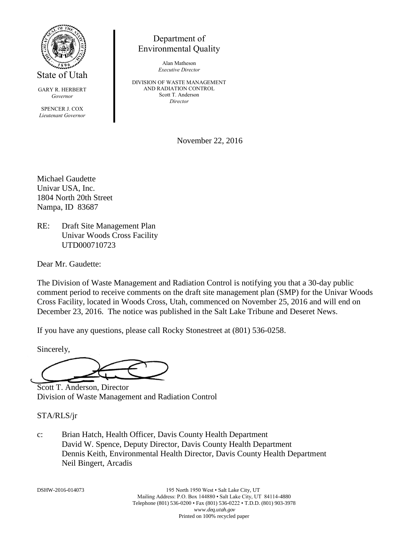

State of Utah

GARY R. HERBERT *Governor*

SPENCER J. COX *Lieutenant Governor*

Department of Environmental Quality

> Alan Matheson *Executive Director*

DIVISION OF WASTE MANAGEMENT AND RADIATION CONTROL Scott T. Anderson *Director*

November 22, 2016

Michael Gaudette Univar USA, Inc. 1804 North 20th Street Nampa, ID 83687

RE: Draft Site Management Plan Univar Woods Cross Facility UTD000710723

Dear Mr. Gaudette:

The Division of Waste Management and Radiation Control is notifying you that a 30-day public comment period to receive comments on the draft site management plan (SMP) for the Univar Woods Cross Facility, located in Woods Cross, Utah, commenced on November 25, 2016 and will end on December 23, 2016. The notice was published in the Salt Lake Tribune and Deseret News.

If you have any questions, please call Rocky Stonestreet at (801) 536-0258.

Sincerely,

Scott T. Anderson, Director Division of Waste Management and Radiation Control

## STA/RLS/jr

c: Brian Hatch, Health Officer, Davis County Health Department David W. Spence, Deputy Director, Davis County Health Department Dennis Keith, Environmental Health Director, Davis County Health Department Neil Bingert, Arcadis

DSHW-2016-014073 195 North 1950 West • Salt Lake City, UT Mailing Address: P.O. Box 144880 • Salt Lake City, UT 84114-4880 Telephone (801) 536-0200 • Fax (801) 536-0222 • T.D.D. (801) 903-3978 *www.deq.utah.gov* Printed on 100% recycled paper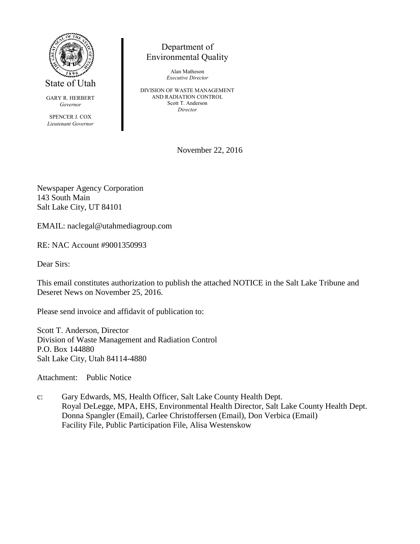

State of Utah

GARY R. HERBERT *Governor*

SPENCER J. COX *Lieutenant Governor*

## Department of Environmental Quality

Alan Matheson *Executive Director*

DIVISION OF WASTE MANAGEMENT AND RADIATION CONTROL Scott T. Anderson *Director*

November 22, 2016

Newspaper Agency Corporation 143 South Main Salt Lake City, UT 84101

EMAIL: naclegal@utahmediagroup.com

RE: NAC Account #9001350993

Dear Sirs:

This email constitutes authorization to publish the attached NOTICE in the Salt Lake Tribune and Deseret News on November 25, 2016.

Please send invoice and affidavit of publication to:

Scott T. Anderson, Director Division of Waste Management and Radiation Control P.O. Box 144880 Salt Lake City, Utah 84114-4880

Attachment: Public Notice

c: Gary Edwards, MS, Health Officer, Salt Lake County Health Dept. Royal DeLegge, MPA, EHS, Environmental Health Director, Salt Lake County Health Dept. Donna Spangler (Email), Carlee Christoffersen (Email), Don Verbica (Email) Facility File, Public Participation File, Alisa Westenskow